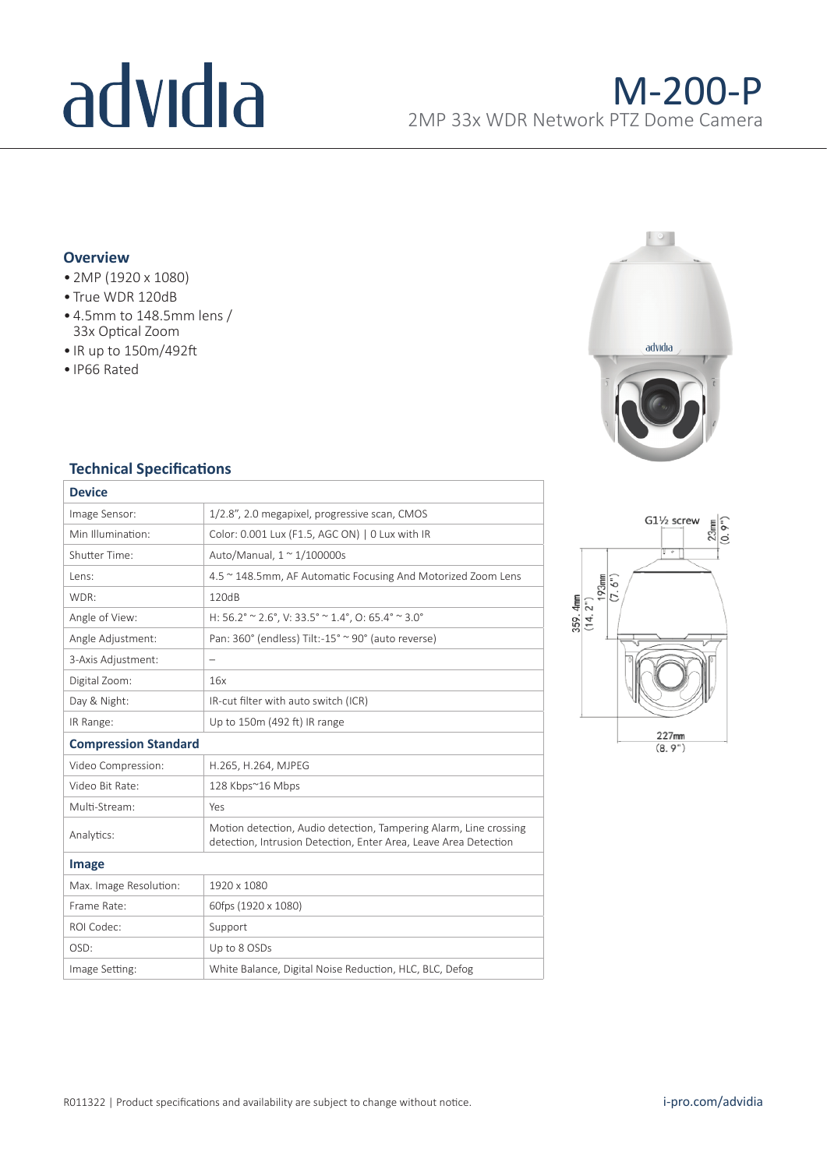# advidia

### **Overview**

- 2MP (1920 x 1080)
- True WDR 120dB
- 4.5mm to 148.5mm lens / 33x Optical Zoom
- IR up to 150m/492ft
- IP66 Rated



### **Technical Specifications**

| <b>Device</b>               |                                                                                                                                       |  |  |
|-----------------------------|---------------------------------------------------------------------------------------------------------------------------------------|--|--|
| Image Sensor:               | 1/2.8", 2.0 megapixel, progressive scan, CMOS                                                                                         |  |  |
| Min Illumination:           | Color: 0.001 Lux (F1.5, AGC ON)   0 Lux with IR                                                                                       |  |  |
| Shutter Time:               | Auto/Manual, $1 \approx 1/100000$ s                                                                                                   |  |  |
| Lens:                       | 4.5 ~ 148.5mm, AF Automatic Focusing And Motorized Zoom Lens                                                                          |  |  |
| WDR:                        | 120dB                                                                                                                                 |  |  |
| Angle of View:              | H: 56.2° ~ 2.6°, V: 33.5° ~ 1.4°, O: 65.4° ~ 3.0°                                                                                     |  |  |
| Angle Adjustment:           | Pan: 360° (endless) Tilt:-15° ~ 90° (auto reverse)                                                                                    |  |  |
| 3-Axis Adjustment:          | $\qquad \qquad -$                                                                                                                     |  |  |
| Digital Zoom:               | 16x                                                                                                                                   |  |  |
| Day & Night:                | IR-cut filter with auto switch (ICR)                                                                                                  |  |  |
| IR Range:                   | Up to 150m (492 ft) IR range                                                                                                          |  |  |
| <b>Compression Standard</b> |                                                                                                                                       |  |  |
| Video Compression:          | H.265, H.264, MJPEG                                                                                                                   |  |  |
| Video Bit Rate:             | 128 Kbps~16 Mbps                                                                                                                      |  |  |
| Multi-Stream:               | Yes                                                                                                                                   |  |  |
| Analytics:                  | Motion detection, Audio detection, Tampering Alarm, Line crossing<br>detection, Intrusion Detection, Enter Area, Leave Area Detection |  |  |
| Image                       |                                                                                                                                       |  |  |
| Max. Image Resolution:      | 1920 x 1080                                                                                                                           |  |  |
| Frame Rate:                 | 60fps (1920 x 1080)                                                                                                                   |  |  |
| ROI Codec:                  | Support                                                                                                                               |  |  |
| OSD:                        | Up to 8 OSDs                                                                                                                          |  |  |
| Image Setting:              | White Balance, Digital Noise Reduction, HLC, BLC, Defog                                                                               |  |  |